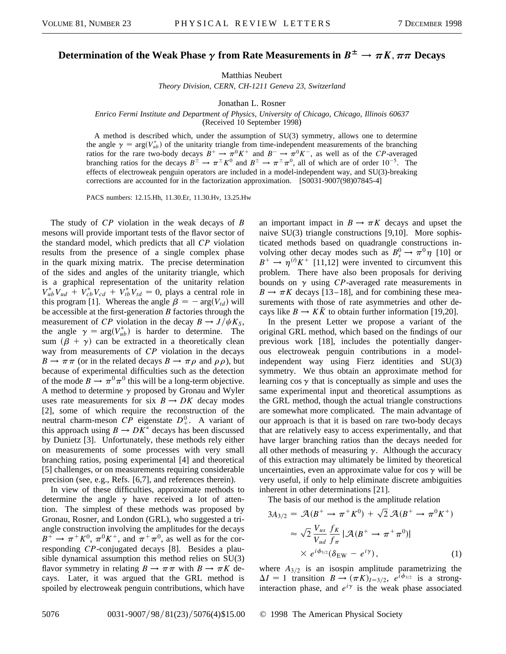## **Determination of the Weak Phase**  $\gamma$  from Rate Measurements in  $B^{\pm} \to \pi K, \pi \pi$  Decays

Matthias Neubert

*Theory Division, CERN, CH-1211 Geneva 23, Switzerland*

Jonathan L. Rosner

## *Enrico Fermi Institute and Department of Physics, University of Chicago, Chicago, Illinois 60637*

(Received 10 September 1998)

A method is described which, under the assumption of SU(3) symmetry, allows one to determine the angle  $\gamma = \arg(V_{ub}^*)$  of the unitarity triangle from time-independent measurements of the branching ratios for the rare two-body decays  $B^+ \to \pi^0 K^+$  and  $B^- \to \pi^0 K^-$ , as well as of the *CP*-averaged branching ratios for the decays  $B^{\pm} \to \pi^{\pm} K^0$  and  $B^{\pm} \to \pi^{\pm} \pi^0$ , all of which are of order  $10^{-5}$ . The effects of electroweak penguin operators are included in a model-independent way, and SU(3)-breaking corrections are accounted for in the factorization approximation. [S0031-9007(98)07845-4]

PACS numbers: 12.15.Hh, 11.30.Er, 11.30.Hv, 13.25.Hw

The study of *CP* violation in the weak decays of *B* mesons will provide important tests of the flavor sector of the standard model, which predicts that all *CP* violation results from the presence of a single complex phase in the quark mixing matrix. The precise determination of the sides and angles of the unitarity triangle, which is a graphical representation of the unitarity relation  $V_{ub}^* V_{ud} + V_{cb}^* V_{cd} + V_{tb}^* V_{td} = 0$ , plays a central role in this program [1]. Whereas the angle  $\beta = -\arg(V_{td})$  will be accessible at the first-generation *B* factories through the measurement of *CP* violation in the decay  $B \to J/\psi K_S$ , the angle  $\gamma = \arg(V_{ub}^*)$  is harder to determine. The sum  $(\beta + \gamma)$  can be extracted in a theoretically clean way from measurements of *CP* violation in the decays  $B \to \pi \pi$  (or in the related decays  $B \to \pi \rho$  and  $\rho \rho$ ), but because of experimental difficulties such as the detection of the mode  $B \to \pi^0 \pi^0$  this will be a long-term objective. A method to determine  $\gamma$  proposed by Gronau and Wyler uses rate measurements for six  $B \to DK$  decay modes [2], some of which require the reconstruction of the neutral charm-meson *CP* eigenstate  $D^0_+$ . A variant of this approach using  $B \to DK^*$  decays has been discussed by Dunietz [3]. Unfortunately, these methods rely either on measurements of some processes with very small branching ratios, posing experimental [4] and theoretical [5] challenges, or on measurements requiring considerable precision (see, e.g., Refs. [6,7], and references therein).

In view of these difficulties, approximate methods to determine the angle  $\gamma$  have received a lot of attention. The simplest of these methods was proposed by Gronau, Rosner, and London (GRL), who suggested a triangle construction involving the amplitudes for the decays  $B^+ \to \pi^+ K^0$ ,  $\pi^0 K^+$ , and  $\pi^+ \pi^0$ , as well as for the corresponding *CP*-conjugated decays [8]. Besides a plausible dynamical assumption this method relies on SU(3) flavor symmetry in relating  $B \to \pi \pi$  with  $B \to \pi K$  decays. Later, it was argued that the GRL method is spoiled by electroweak penguin contributions, which have

an important impact in  $B \to \pi K$  decays and upset the naive SU(3) triangle constructions [9,10]. More sophisticated methods based on quadrangle constructions involving other decay modes such as  $B_s^0 \to \pi^0 \eta$  [10] or  $B^+ \to \eta^{(l)} K^+$  [11,12] were invented to circumvent this problem. There have also been proposals for deriving bounds on  $\gamma$  using *CP*-averaged rate measurements in  $B \to \pi K$  decays [13–18], and for combining these measurements with those of rate asymmetries and other decays like  $B \to K\bar{K}$  to obtain further information [19,20].

In the present Letter we propose a variant of the original GRL method, which based on the findings of our previous work [18], includes the potentially dangerous electroweak penguin contributions in a modelindependent way using Fierz identities and SU(3) symmetry. We thus obtain an approximate method for learning  $\cos \gamma$  that is conceptually as simple and uses the same experimental input and theoretical assumptions as the GRL method, though the actual triangle constructions are somewhat more complicated. The main advantage of our approach is that it is based on rare two-body decays that are relatively easy to access experimentally, and that have larger branching ratios than the decays needed for all other methods of measuring  $\gamma$ . Although the accuracy of this extraction may ultimately be limited by theoretical uncertainties, even an approximate value for cos  $\gamma$  will be very useful, if only to help eliminate discrete ambiguities inherent in other determinations [21].

The basis of our method is the amplitude relation

$$
3A_{3/2} = \mathcal{A}(B^+ \to \pi^+ K^0) + \sqrt{2} \mathcal{A}(B^+ \to \pi^0 K^+)
$$
  
\n
$$
\approx \sqrt{2} \frac{V_{us}}{V_{ud}} \frac{f_K}{f_\pi} |\mathcal{A}(B^+ \to \pi^+ \pi^0)|
$$
  
\n
$$
\times e^{i\phi_{3/2}} (\delta_{\rm EW} - e^{i\gamma}),
$$
\n(1)

where  $A_{3/2}$  is an isospin amplitude parametrizing the  $\Delta I = 1$  transition  $B \rightarrow (\pi K)_{I=3/2}$ ,  $e^{i\phi_{3/2}}$  is a stronginteraction phase, and  $e^{i\gamma}$  is the weak phase associated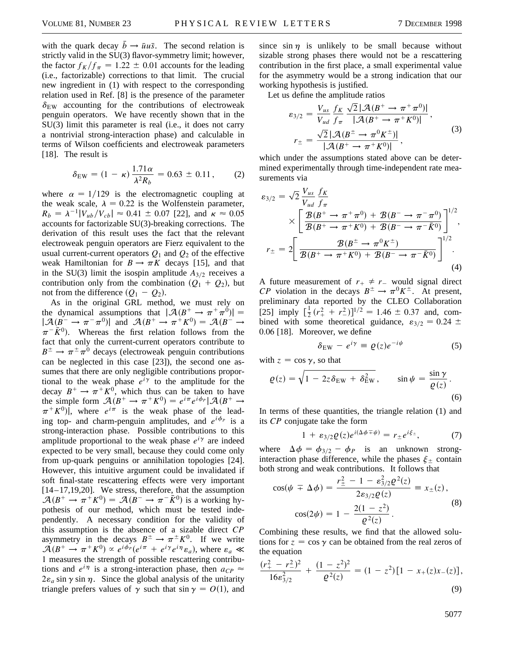with the quark decay  $\bar{b} \rightarrow \bar{u}u\bar{s}$ . The second relation is strictly valid in the SU(3) flavor-symmetry limit; however, the factor  $f_K/f_\pi = 1.22 \pm 0.01$  accounts for the leading (i.e., factorizable) corrections to that limit. The crucial new ingredient in (1) with respect to the corresponding relation used in Ref. [8] is the presence of the parameter  $\delta_{EW}$  accounting for the contributions of electroweak penguin operators. We have recently shown that in the SU(3) limit this parameter is real (i.e., it does not carry a nontrivial strong-interaction phase) and calculable in terms of Wilson coefficients and electroweak parameters [18]. The result is

$$
\delta_{\rm EW} = (1 - \kappa) \frac{1.71 \alpha}{\lambda^2 R_b} = 0.63 \pm 0.11 \,, \tag{2}
$$

where  $\alpha = 1/129$  is the electromagnetic coupling at the weak scale,  $\lambda = 0.22$  is the Wolfenstein parameter,  $R_b = \lambda^{-1}|V_{ub}/V_{cb}| \approx 0.41 \pm 0.07$  [22], and  $\kappa \approx 0.05$ accounts for factorizable SU(3)-breaking corrections. The derivation of this result uses the fact that the relevant electroweak penguin operators are Fierz equivalent to the usual current-current operators  $Q_1$  and  $Q_2$  of the effective weak Hamiltonian for  $B \to \pi K$  decays [15], and that in the SU(3) limit the isospin amplitude  $A_{3/2}$  receives a contribution only from the combination  $(Q_1 + Q_2)$ , but not from the difference  $(Q_1 - Q_2)$ .

As in the original GRL method, we must rely on the dynamical assumptions that  $|\mathcal{A}(B^+ \to \pi^+ \pi^0)| =$  $|\mathcal{A}(B^- \to \pi^- \pi^0)|$  and  $\mathcal{A}(B^+ \to \pi^+ K^0) = \mathcal{A}(B^- \to$  $\pi^{-} \bar{K}^{0}$ ). Whereas the first relation follows from the fact that only the current-current operators contribute to  $B^{\pm} \rightarrow \pi^{\pm} \pi^{0}$  decays (electroweak penguin contributions can be neglected in this case [23]), the second one assumes that there are only negligible contributions proportional to the weak phase  $e^{i\gamma}$  to the amplitude for the decay  $B^+ \to \pi^+ K^0$ , which thus can be taken to have the simple form  $\mathcal{A}(B^+ \to \pi^+ K^0) = e^{i \pi} e^{i \phi_p} |\mathcal{A}(B^+ \to$  $\pi^{+}K^{0}$ , where  $e^{i\pi}$  is the weak phase of the leading top- and charm-penguin amplitudes, and  $e^{i\phi_p}$  is a strong-interaction phase. Possible contributions to this amplitude proportional to the weak phase  $e^{i\gamma}$  are indeed expected to be very small, because they could come only from up-quark penguins or annihilation topologies [24]. However, this intuitive argument could be invalidated if soft final-state rescattering effects were very important  $[14–17,19,20]$ . We stress, therefore, that the assumption  $\mathcal{A}(B^+ \to \pi^+ K^0) = \mathcal{A}(B^- \to \pi^- \bar{K}^0)$  is a working hypothesis of our method, which must be tested independently. A necessary condition for the validity of this assumption is the absence of a sizable direct *CP* asymmetry in the decays  $B^{\pm} \to \pi^{\pm} K^{0}$ . If we write  $\mathcal{A}(B^+ \to \pi^+ K^0) \propto e^{i\phi_p} (e^{i\pi} + e^{i\gamma} e^{i\eta} \varepsilon_a)$ , where  $\varepsilon_a \ll$ 1 measures the strength of possible rescattering contributions and  $e^{i\eta}$  is a strong-interaction phase, then  $a_{CP} \approx$  $2\varepsilon_a$  sin  $\gamma$  sin  $\eta$ . Since the global analysis of the unitarity triangle prefers values of  $\gamma$  such that  $\sin \gamma = O(1)$ , and

since sin  $\eta$  is unlikely to be small because without sizable strong phases there would not be a rescattering contribution in the first place, a small experimental value for the asymmetry would be a strong indication that our working hypothesis is justified.

Let us define the amplitude ratios

$$
\varepsilon_{3/2} = \frac{V_{us}}{V_{ud}} \frac{f_K}{f_\pi} \frac{\sqrt{2} |\mathcal{A}(B^+ \to \pi^+ \pi^0)|}{|\mathcal{A}(B^+ \to \pi^+ K^0)|},
$$
  

$$
r_{\pm} = \frac{\sqrt{2} |\mathcal{A}(B^{\pm} \to \pi^0 K^{\pm})|}{|\mathcal{A}(B^+ \to \pi^+ K^0)|},
$$
 (3)

which under the assumptions stated above can be determined experimentally through time-independent rate measurements via

$$
\varepsilon_{3/2} = \sqrt{2} \frac{V_{us}}{V_{ud}} \frac{f_K}{f_\pi}
$$
  
 
$$
\times \left[ \frac{\mathcal{B}(B^+ \to \pi^+ \pi^0) + \mathcal{B}(B^- \to \pi^- \pi^0)}{\mathcal{B}(B^+ \to \pi^+ K^0) + \mathcal{B}(B^- \to \pi^- \bar{K}^0)} \right]^{1/2},
$$
  

$$
r_{\pm} = 2 \left[ \frac{\mathcal{B}(B^{\pm} \to \pi^0 K^{\pm})}{\mathcal{B}(B^+ \to \pi^+ K^0) + \mathcal{B}(B^- \to \pi^- \bar{K}^0)} \right]^{1/2}.
$$
  
(4)

A future measurement of  $r_+ \neq r_-$  would signal direct *CP* violation in the decays  $B^{\pm} \rightarrow \pi^0 K^{\pm}$ . At present, preliminary data reported by the CLEO Collaboration [25] imply  $\left[\frac{1}{2}(r_+^2 + r_-^2)\right]^{1/2} = 1.46 \pm 0.37$  and, combined with some theoretical guidance,  $\varepsilon_{3/2} = 0.24 \pm 0.24$ 0.06 [18]. Moreover, we define

$$
\delta_{\rm EW} - e^{i\gamma} \equiv \varrho(z)e^{-i\psi} \tag{5}
$$

with  $z = \cos \gamma$ , so that

$$
\varrho(z) = \sqrt{1 - 2z \delta_{\rm EW} + \delta_{\rm EW}^2}, \qquad \sin \psi = \frac{\sin \gamma}{\varrho(z)}.
$$
\n(6)

In terms of these quantities, the triangle relation (1) and its *CP* conjugate take the form

$$
1 + \varepsilon_{3/2} \varrho(z) e^{i(\Delta \phi \mp \psi)} = r_{\pm} e^{i \xi_{\pm}}, \tag{7}
$$

where  $\Delta \phi = \phi_{3/2} - \phi_P$  is an unknown stronginteraction phase difference, while the phases  $\xi_{\pm}$  contain both strong and weak contributions. It follows that

$$
\cos(\psi \mp \Delta \phi) = \frac{r_{\pm}^2 - 1 - \varepsilon_{3/2}^2 \varrho^2(z)}{2\varepsilon_{3/2} \varrho(z)} \equiv x_{\pm}(z),
$$
  

$$
\cos(2\psi) = 1 - \frac{2(1 - z^2)}{\varrho^2(z)}.
$$
 (8)

Combining these results, we find that the allowed solutions for  $z = \cos \gamma$  can be obtained from the real zeros of the equation

$$
\frac{(r_+^2 - r_-^2)^2}{16\epsilon_{3/2}^2} + \frac{(1 - z^2)^2}{\varrho^2(z)} = (1 - z^2) [1 - x_+(z)x_-(z)],
$$
\n(9)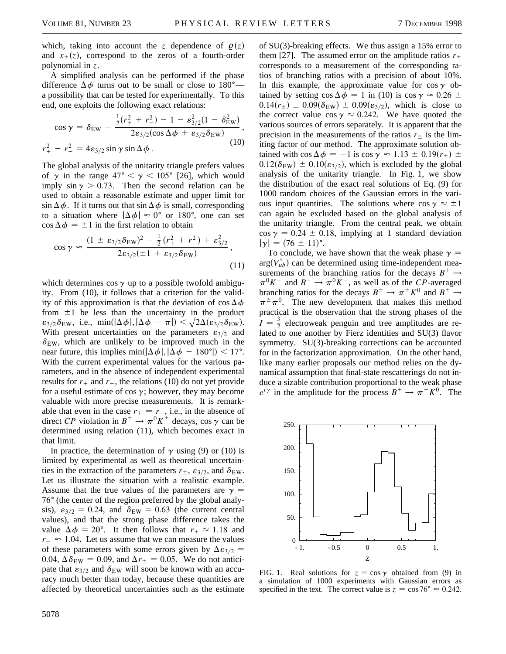which, taking into account the *z* dependence of  $\rho(z)$ and  $x_{\pm}(z)$ , correspond to the zeros of a fourth-order polynomial in *z*.

A simplified analysis can be performed if the phase difference  $\Delta \phi$  turns out to be small or close to 180<sup>o</sup> a possibility that can be tested for experimentally. To this end, one exploits the following exact relations:

$$
\cos \gamma = \delta_{\rm EW} - \frac{\frac{1}{2}(r_+^2 + r_-^2) - 1 - \varepsilon_{3/2}^2 (1 - \delta_{\rm EW}^2)}{2\varepsilon_{3/2}(\cos \Delta \phi + \varepsilon_{3/2} \delta_{\rm EW})},
$$
  

$$
r_+^2 - r_-^2 = 4\varepsilon_{3/2} \sin \gamma \sin \Delta \phi.
$$
 (10)

The global analysis of the unitarity triangle prefers values of  $\gamma$  in the range  $47^{\circ} < \gamma < 105^{\circ}$  [26], which would imply sin  $\gamma > 0.73$ . Then the second relation can be used to obtain a reasonable estimate and upper limit for  $\sin \Delta \phi$ . If it turns out that  $\sin \Delta \phi$  is small, corresponding to a situation where  $|\Delta \phi| \approx 0^{\circ}$  or 180°, one can set  $\cos \Delta \phi = \pm 1$  in the first relation to obtain

$$
\cos \gamma \approx \frac{(1 \pm \varepsilon_{3/2} \delta_{\text{EW}})^2 - \frac{1}{2} (r_+^2 + r_-^2) + \varepsilon_{3/2}^2}{2\varepsilon_{3/2} (\pm 1 + \varepsilon_{3/2} \delta_{\text{EW}})},
$$
\n(11)

which determines cos  $\gamma$  up to a possible twofold ambiguity. From (10), it follows that a criterion for the validity of this approximation is that the deviation of  $\cos \Delta \phi$ from  $\pm 1$  be less than the uncertainty in the product From  $\pm 1$  be less than the uncertainty in the product<br> $\epsilon_{3/2}\delta_{\rm EW}$ , i.e., min $(|\Delta\phi|, |\Delta\phi - \pi|) < \sqrt{2\Delta(\epsilon_{3/2}\delta_{\rm EW})}$ . With present uncertainties on the parameters  $\varepsilon_{3/2}$  and  $\delta_{\text{EW}}$ , which are unlikely to be improved much in the near future, this implies min $(|\Delta \phi|,|\Delta \phi - 180^{\circ}|) < 17^{\circ}$ . With the current experimental values for the various parameters, and in the absence of independent experimental results for  $r_+$  and  $r_-$ , the relations (10) do not yet provide for a useful estimate of cos  $\gamma$ ; however, they may become valuable with more precise measurements. It is remarkable that even in the case  $r_{+} = r_{-}$ , i.e., in the absence of direct *CP* violation in  $B^{\pm} \to \pi^0 K^{\pm}$  decays, cos  $\gamma$  can be determined using relation (11), which becomes exact in that limit.

In practice, the determination of  $\gamma$  using (9) or (10) is limited by experimental as well as theoretical uncertainties in the extraction of the parameters  $r_{\pm}$ ,  $\varepsilon_{3/2}$ , and  $\delta_{EW}$ . Let us illustrate the situation with a realistic example. Assume that the true values of the parameters are  $\gamma =$ 76 $\degree$  (the center of the region preferred by the global analysis),  $\varepsilon_{3/2} = 0.24$ , and  $\delta_{EW} = 0.63$  (the current central values), and that the strong phase difference takes the value  $\Delta \phi = 20^{\circ}$ . It then follows that  $r_+ \approx 1.18$  and  $r_{-} \approx 1.04$ . Let us assume that we can measure the values of these parameters with some errors given by  $\Delta \epsilon_{3/2} =$ 0.04,  $\Delta \delta_{\text{EW}} = 0.09$ , and  $\Delta r_{\pm} = 0.05$ . We do not anticipate that  $\varepsilon_{3/2}$  and  $\delta_{EW}$  will soon be known with an accuracy much better than today, because these quantities are affected by theoretical uncertainties such as the estimate

5078

of SU(3)-breaking effects. We thus assign a 15% error to them [27]. The assumed error on the amplitude ratios  $r<sub>+</sub>$ corresponds to a measurement of the corresponding ratios of branching ratios with a precision of about 10%. In this example, the approximate value for  $\cos \gamma$  obtained by setting  $\cos \Delta \phi = 1$  in (10) is  $\cos \gamma \approx 0.26 \pm$  $0.14(r_{\pm}) \pm 0.09(\delta_{\rm EW}) \pm 0.09(\epsilon_{3/2})$ , which is close to the correct value  $\cos \gamma \approx 0.242$ . We have quoted the various sources of errors separately. It is apparent that the precision in the measurements of the ratios  $r<sub>+</sub>$  is the limiting factor of our method. The approximate solution obtained with  $\cos \Delta \phi = -1$  is  $\cos \gamma \approx 1.13 \pm 0.19(r_{\pm}) \pm 0.15(r_{\pm})$  $0.12(\delta_{\text{EW}}) \pm 0.10(\epsilon_{3/2})$ , which is excluded by the global analysis of the unitarity triangle. In Fig. 1, we show the distribution of the exact real solutions of Eq. (9) for 1000 random choices of the Gaussian errors in the various input quantities. The solutions where  $\cos \gamma \approx \pm 1$ can again be excluded based on the global analysis of the unitarity triangle. From the central peak, we obtain  $\cos \gamma = 0.24 \pm 0.18$ , implying at 1 standard deviation  $|\gamma| = (76 \pm 11)^{\circ}.$ 

To conclude, we have shown that the weak phase  $\gamma =$  $arg(V_{ub}^*)$  can be determined using time-independent measurements of the branching ratios for the decays  $B^+ \rightarrow$  $\pi^{0}K^{+}$  and  $B^{-} \to \pi^{0}K^{-}$ , as well as of the *CP*-averaged branching ratios for the decays  $B^{\pm} \to \pi^{\pm} K^0$  and  $B^{\pm} \to$  $\pi^{\pm}\pi^{0}$ . The new development that makes this method practical is the observation that the strong phases of the  $I = \frac{3}{2}$  electroweak penguin and tree amplitudes are related to one another by Fierz identities and SU(3) flavor symmetry. SU(3)-breaking corrections can be accounted for in the factorization approximation. On the other hand, like many earlier proposals our method relies on the dynamical assumption that final-state rescatterings do not induce a sizable contribution proportional to the weak phase  $e^{i\gamma}$  in the amplitude for the process  $B^+ \to \pi^+ K^0$ . The



50.

100.

150.

200.

250.

FIG. 1. Real solutions for  $z = \cos \gamma$  obtained from (9) in a simulation of 1000 experiments with Gaussian errors as specified in the text. The correct value is  $z = \cos 76^\circ \approx 0.242$ .